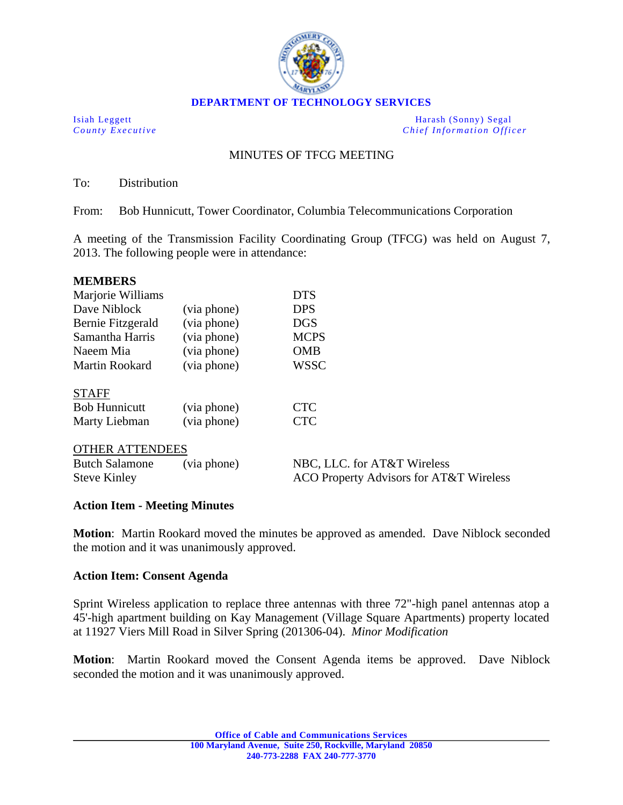

**DEPARTMENT OF TECHNOLOGY SERVICES** 

Isiah Leggett Harash (Sonny) Segal *County Executive County Executive Chief Information Officer* 

# MINUTES OF TFCG MEETING

To: Distribution

From: Bob Hunnicutt, Tower Coordinator, Columbia Telecommunications Corporation

A meeting of the Transmission Facility Coordinating Group (TFCG) was held on August 7, 2013. The following people were in attendance:

| <b>MEMBERS</b>        |             |             |
|-----------------------|-------------|-------------|
| Marjorie Williams     |             | <b>DTS</b>  |
| Dave Niblock          | (via phone) | <b>DPS</b>  |
| Bernie Fitzgerald     | (via phone) | <b>DGS</b>  |
| Samantha Harris       | (via phone) | <b>MCPS</b> |
| Naeem Mia             | (via phone) | <b>OMB</b>  |
| <b>Martin Rookard</b> | (via phone) | <b>WSSC</b> |

|--|

| <b>Bob Hunnicutt</b> | (via phone) | <b>CTC</b> |
|----------------------|-------------|------------|
| Marty Liebman        | (via phone) | <b>CTC</b> |

### OTHER ATTENDEES

| <b>Butch Salamone</b> | (via phone) | NBC, LLC. for AT&T Wireless             |
|-----------------------|-------------|-----------------------------------------|
| <b>Steve Kinley</b>   |             | ACO Property Advisors for AT&T Wireless |

### **Action Item - Meeting Minutes**

**Motion**: Martin Rookard moved the minutes be approved as amended. Dave Niblock seconded the motion and it was unanimously approved.

### **Action Item: Consent Agenda**

Sprint Wireless application to replace three antennas with three 72"-high panel antennas atop a 45'-high apartment building on Kay Management (Village Square Apartments) property located at 11927 Viers Mill Road in Silver Spring (201306-04). *Minor Modification*

**Motion**: Martin Rookard moved the Consent Agenda items be approved. Dave Niblock seconded the motion and it was unanimously approved.